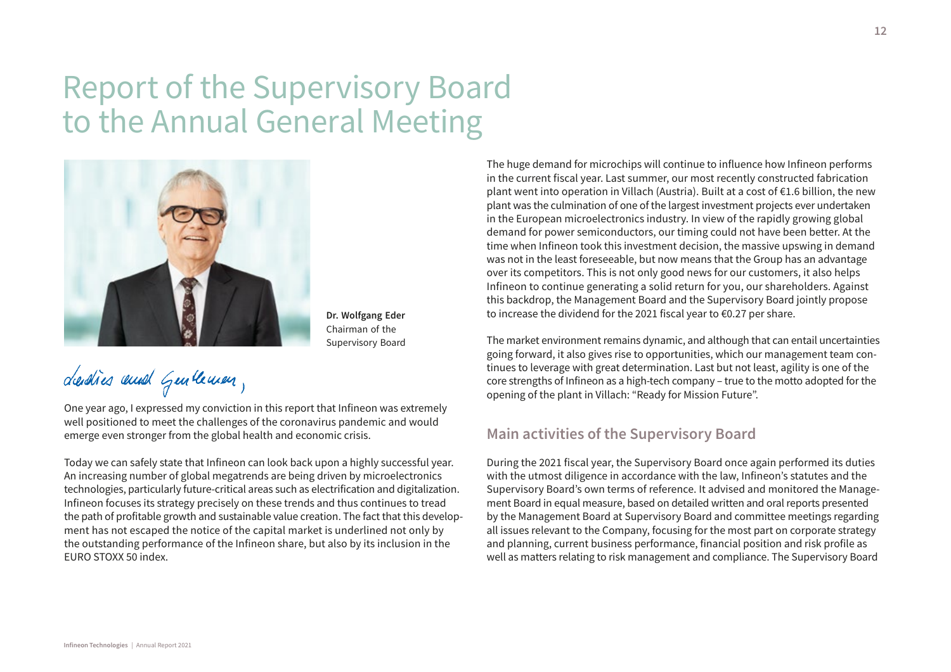# Report of the Supervisory Board to the Annual General Meeting



**Dr. Wolfgang Eder** Chairman of the Supervisory Board

dendies and Gentleman,

One year ago, I expressed my conviction in this report that Infineon was extremely well positioned to meet the challenges of the coronavirus pandemic and would emerge even stronger from the global health and economic crisis.

Today we can safely state that Infineon can look back upon a highly successful year. An increasing number of global megatrends are being driven by microelectronics technologies, particularly future-critical areas such as electrification and digitalization. Infineon focuses its strategy precisely on these trends and thus continues to tread the path of profitable growth and sustainable value creation. The fact that this development has not escaped the notice of the capital market is underlined not only by the outstanding performance of the Infineon share, but also by its inclusion in the EURO STOXX 50 index.

The huge demand for microchips will continue to influence how Infineon performs in the current fiscal year. Last summer, our most recently constructed fabrication plant went into operation in Villach (Austria). Built at a cost of €1.6 billion, the new plant was the culmination of one of the largest investment projects ever undertaken in the European microelectronics industry. In view of the rapidly growing global demand for power semiconductors, our timing could not have been better. At the time when Infineon took this investment decision, the massive upswing in demand was not in the least foreseeable, but now means that the Group has an advantage over its competitors. This is not only good news for our customers, it also helps Infineon to continue generating a solid return for you, our shareholders. Against this backdrop, the Management Board and the Supervisory Board jointly propose to increase the dividend for the 2021 fiscal year to €0.27 per share.

The market environment remains dynamic, and although that can entail uncertainties going forward, it also gives rise to opportunities, which our management team continues to leverage with great determination. Last but not least, agility is one of the core strengths of Infineon as a high-tech company – true to the motto adopted for the opening of the plant in Villach: "Ready for Mission Future".

# **Main activities of the Supervisory Board**

During the 2021 fiscal year, the Supervisory Board once again performed its duties with the utmost diligence in accordance with the law, Infineon's statutes and the Supervisory Board's own terms of reference. It advised and monitored the Management Board in equal measure, based on detailed written and oral reports presented by the Management Board at Supervisory Board and committee meetings regarding all issues relevant to the Company, focusing for the most part on corporate strategy and planning, current business performance, financial position and risk profile as well as matters relating to risk management and compliance. The Supervisory Board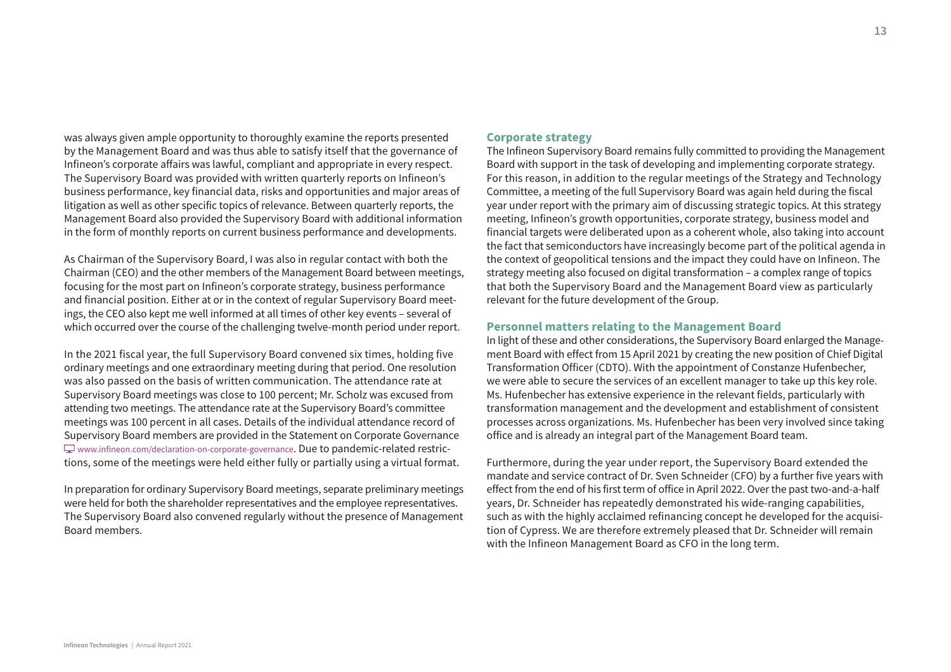was always given ample opportunity to thoroughly examine the reports presented by the Management Board and was thus able to satisfy itself that the governance of Infineon's corporate affairs was lawful, compliant and appropriate in every respect. The Supervisory Board was provided with written quarterly reports on Infineon's business performance, key financial data, risks and opportunities and major areas of litigation as well as other specific topics of relevance. Between quarterly reports, the Management Board also provided the Supervisory Board with additional information in the form of monthly reports on current business performance and developments.

As Chairman of the Supervisory Board, I was also in regular contact with both the Chairman (CEO) and the other members of the Management Board between meetings, focusing for the most part on Infineon's corporate strategy, business performance and financial position. Either at or in the context of regular Supervisory Board meetings, the CEO also kept me well informed at all times of other key events – several of which occurred over the course of the challenging twelve-month period under report.

In the 2021 fiscal year, the full Supervisory Board convened six times, holding five ordinary meetings and one extraordinary meeting during that period. One resolution was also passed on the basis of written communication. The attendance rate at Supervisory Board meetings was close to 100 percent; Mr. Scholz was excused from attending two meetings. The attendance rate at the Supervisory Board's committee meetings was 100 percent in all cases. Details of the individual attendance record of Supervisory Board members are provided in the Statement on Corporate Governance [www.infineon.com/declaration-on-corporate-governance.](www.infineon.com/declaration-on-corporate-governance) Due to pandemic-related restrictions, some of the meetings were held either fully or partially using a virtual format.

In preparation for ordinary Supervisory Board meetings, separate preliminary meetings were held for both the shareholder representatives and the employee representatives. The Supervisory Board also convened regularly without the presence of Management Board members.

# **Corporate strategy**

The Infineon Supervisory Board remains fully committed to providing the Management Board with support in the task of developing and implementing corporate strategy. For this reason, in addition to the regular meetings of the Strategy and Technology Committee, a meeting of the full Supervisory Board was again held during the fiscal year under report with the primary aim of discussing strategic topics. At this strategy meeting, Infineon's growth opportunities, corporate strategy, business model and financial targets were deliberated upon as a coherent whole, also taking into account the fact that semiconductors have increasingly become part of the political agenda in the context of geopolitical tensions and the impact they could have on Infineon. The strategy meeting also focused on digital transformation – a complex range of topics that both the Supervisory Board and the Management Board view as particularly relevant for the future development of the Group.

# **Personnel matters relating to the Management Board**

In light of these and other considerations, the Supervisory Board enlarged the Management Board with effect from 15 April 2021 by creating the new position of Chief Digital Transformation Officer (CDTO). With the appointment of Constanze Hufenbecher, we were able to secure the services of an excellent manager to take up this key role. Ms. Hufenbecher has extensive experience in the relevant fields, particularly with transformation management and the development and establishment of consistent processes across organizations. Ms. Hufenbecher has been very involved since taking office and is already an integral part of the Management Board team.

Furthermore, during the year under report, the Supervisory Board extended the mandate and service contract of Dr. Sven Schneider (CFO) by a further five years with effect from the end of his first term of office in April 2022. Over the past two-and-a-half years, Dr. Schneider has repeatedly demonstrated his wide-ranging capabilities, such as with the highly acclaimed refinancing concept he developed for the acquisition of Cypress. We are therefore extremely pleased that Dr. Schneider will remain with the Infineon Management Board as CFO in the long term.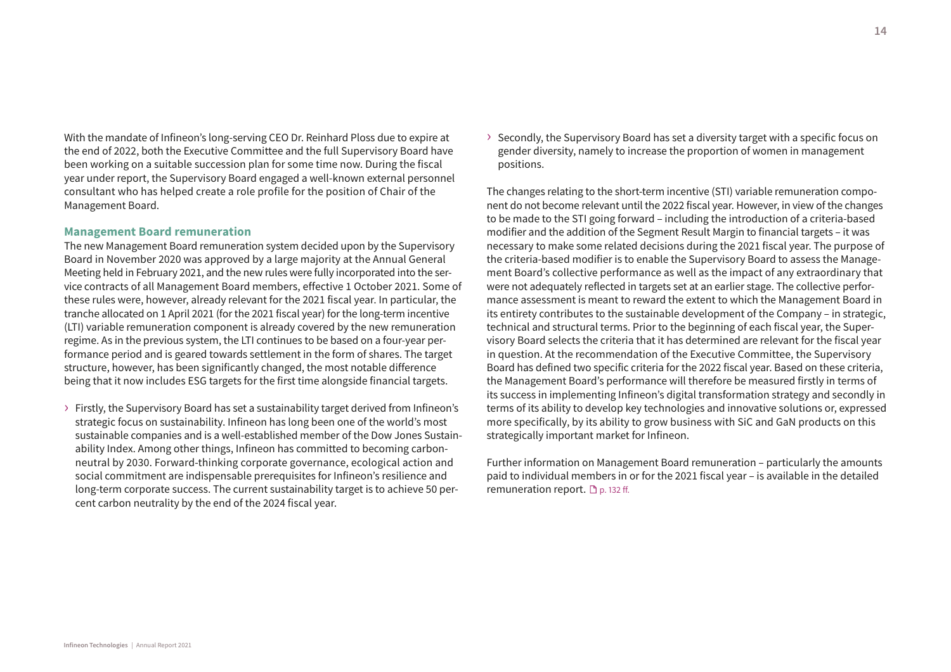With the mandate of Infineon's long-serving CEO Dr. Reinhard Ploss due to expire at the end of 2022, both the Executive Committee and the full Supervisory Board have been working on a suitable succession plan for some time now. During the fiscal year under report, the Supervisory Board engaged a well-known external personnel consultant who has helped create a role profile for the position of Chair of the Management Board.

## **Management Board remuneration**

The new Management Board remuneration system decided upon by the Supervisory Board in November 2020 was approved by a large majority at the Annual General Meeting held in February 2021, and the new rules were fully incorporated into the service contracts of all Management Board members, effective 1 October 2021. Some of these rules were, however, already relevant for the 2021 fiscal year. In particular, the tranche allocated on 1 April 2021 (for the 2021 fiscal year) for the long-term incentive (LTI) variable remuneration component is already covered by the new remuneration regime. As in the previous system, the LTI continues to be based on a four-year performance period and is geared towards settlement in the form of shares. The target structure, however, has been significantly changed, the most notable difference being that it now includes ESG targets for the first time alongside financial targets.

› Firstly, the Supervisory Board has set a sustainability target derived from Infineon's strategic focus on sustainability. Infineon has long been one of the world's most sustainable companies and is a well-established member of the Dow Jones Sustainability Index. Among other things, Infineon has committed to becoming carbonneutral by 2030. Forward-thinking corporate governance, ecological action and social commitment are indispensable prerequisites for Infineon's resilience and long-term corporate success. The current sustainability target is to achieve 50 percent carbon neutrality by the end of the 2024 fiscal year.

 $\rightarrow$  Secondly, the Supervisory Board has set a diversity target with a specific focus on gender diversity, namely to increase the proportion of women in management positions.

The changes relating to the short-term incentive (STI) variable remuneration component do not become relevant until the 2022 fiscal year. However, in view of the changes to be made to the STI going forward – including the introduction of a criteria-based modifier and the addition of the Segment Result Margin to financial targets – it was necessary to make some related decisions during the 2021 fiscal year. The purpose of the criteria-based modifier is to enable the Supervisory Board to assess the Management Board's collective performance as well as the impact of any extraordinary that were not adequately reflected in targets set at an earlier stage. The collective performance assessment is meant to reward the extent to which the Management Board in its entirety contributes to the sustainable development of the Company – in strategic, technical and structural terms. Prior to the beginning of each fiscal year, the Supervisory Board selects the criteria that it has determined are relevant for the fiscal year in question. At the recommendation of the Executive Committee, the Supervisory Board has defined two specific criteria for the 2022 fiscal year. Based on these criteria, the Management Board's performance will therefore be measured firstly in terms of its success in implementing Infineon's digital transformation strategy and secondly in terms of its ability to develop key technologies and innovative solutions or, expressed more specifically, by its ability to grow business with SiC and GaN products on this strategically important market for Infineon.

Further information on Management Board remuneration – particularly the amounts paid to individual members in or for the 2021 fiscal year – is available in the detailed remuneration report.  $\Box$  p. 132 ff.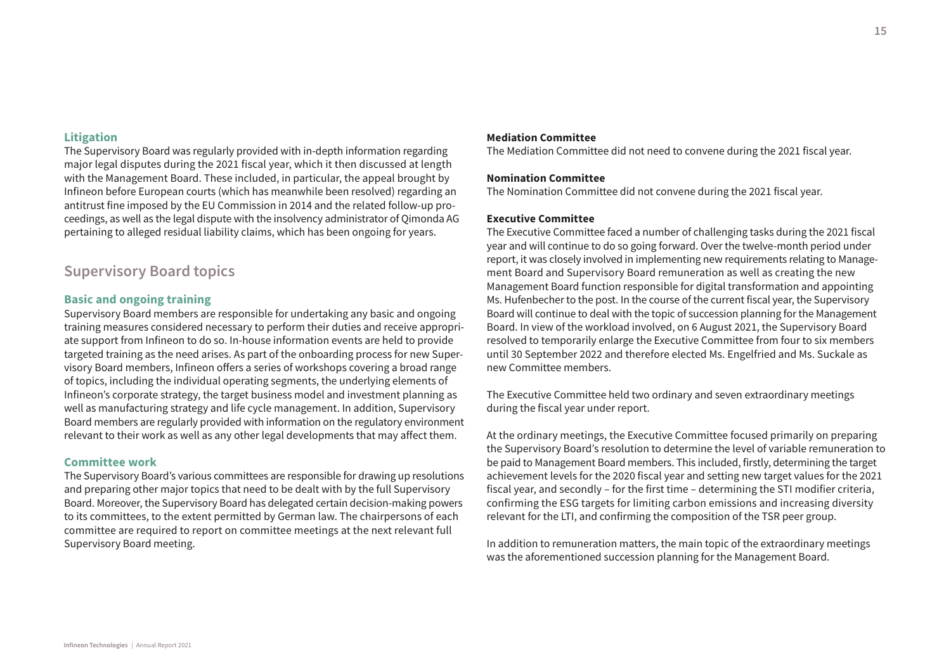#### **Litigation**

The Supervisory Board was regularly provided with in-depth information regarding major legal disputes during the 2021 fiscal year, which it then discussed at length with the Management Board. These included, in particular, the appeal brought by Infineon before European courts (which has meanwhile been resolved) regarding an antitrust fine imposed by the EU Commission in 2014 and the related follow-up proceedings, as well as the legal dispute with the insolvency administrator of Qimonda AG pertaining to alleged residual liability claims, which has been ongoing for years.

# **Supervisory Board topics**

# **Basic and ongoing training**

Supervisory Board members are responsible for undertaking any basic and ongoing training measures considered necessary to perform their duties and receive appropriate support from Infineon to do so. In-house information events are held to provide targeted training as the need arises. As part of the onboarding process for new Supervisory Board members, Infineon offers a series of workshops covering a broad range of topics, including the individual operating segments, the underlying elements of Infineon's corporate strategy, the target business model and investment planning as well as manufacturing strategy and life cycle management. In addition, Supervisory Board members are regularly provided with information on the regulatory environment relevant to their work as well as any other legal developments that may affect them.

## **Committee work**

The Supervisory Board's various committees are responsible for drawing up resolutions and preparing other major topics that need to be dealt with by the full Supervisory Board. Moreover, the Supervisory Board has delegated certain decision-making powers to its committees, to the extent permitted by German law. The chairpersons of each committee are required to report on committee meetings at the next relevant full Supervisory Board meeting.

## **Mediation Committee**

The Mediation Committee did not need to convene during the 2021 fiscal year.

#### **Nomination Committee**

The Nomination Committee did not convene during the 2021 fiscal year.

## **Executive Committee**

The Executive Committee faced a number of challenging tasks during the 2021 fiscal year and will continue to do so going forward. Over the twelve-month period under report, it was closely involved in implementing new requirements relating to Management Board and Supervisory Board remuneration as well as creating the new Management Board function responsible for digital transformation and appointing Ms. Hufenbecher to the post. In the course of the current fiscal year, the Supervisory Board will continue to deal with the topic of succession planning for the Management Board. In view of the workload involved, on 6 August 2021, the Supervisory Board resolved to temporarily enlarge the Executive Committee from four to six members until 30 September 2022 and therefore elected Ms. Engelfried and Ms. Suckale as new Committee members.

The Executive Committee held two ordinary and seven extraordinary meetings during the fiscal year under report.

At the ordinary meetings, the Executive Committee focused primarily on preparing the Supervisory Board's resolution to determine the level of variable remuneration to be paid to Management Board members. This included, firstly, determining the target achievement levels for the 2020 fiscal year and setting new target values for the 2021 fiscal year, and secondly – for the first time – determining the STI modifier criteria, confirming the ESG targets for limiting carbon emissions and increasing diversity relevant for the LTI, and confirming the composition of the TSR peer group.

In addition to remuneration matters, the main topic of the extraordinary meetings was the aforementioned succession planning for the Management Board.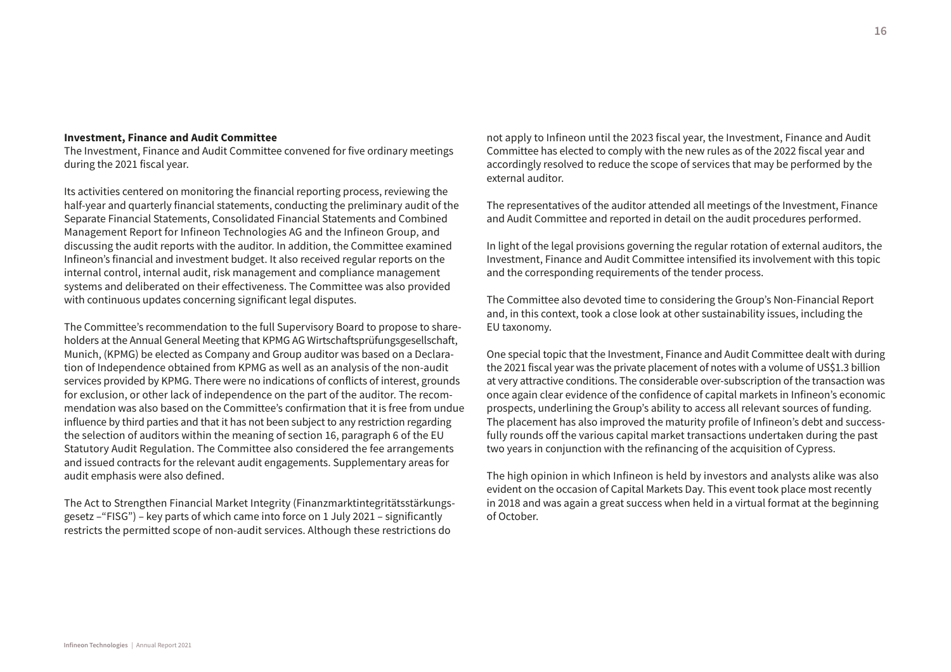#### **Investment, Finance and Audit Committee**

The Investment, Finance and Audit Committee convened for five ordinary meetings during the 2021 fiscal year.

Its activities centered on monitoring the financial reporting process, reviewing the half-year and quarterly financial statements, conducting the preliminary audit of the Separate Financial Statements, Consolidated Financial Statements and Combined Management Report for Infineon Technologies AG and the Infineon Group, and discussing the audit reports with the auditor. In addition, the Committee examined Infineon's financial and investment budget. It also received regular reports on the internal control, internal audit, risk management and compliance management systems and deliberated on their effectiveness. The Committee was also provided with continuous updates concerning significant legal disputes.

The Committee's recommendation to the full Supervisory Board to propose to shareholders at the Annual General Meeting that KPMG AG Wirtschaftsprüfungsgesellschaft, Munich, (KPMG) be elected as Company and Group auditor was based on a Declaration of Independence obtained from KPMG as well as an analysis of the non-audit services provided by KPMG. There were no indications of conflicts of interest, grounds for exclusion, or other lack of independence on the part of the auditor. The recommendation was also based on the Committee's confirmation that it is free from undue influence by third parties and that it has not been subject to any restriction regarding the selection of auditors within the meaning of section 16, paragraph 6 of the EU Statutory Audit Regulation. The Committee also considered the fee arrangements and issued contracts for the relevant audit engagements. Supplementary areas for audit emphasis were also defined.

The Act to Strengthen Financial Market Integrity (Finanzmarktintegritätsstärkungsgesetz –"FISG") – key parts of which came into force on 1 July 2021 – significantly restricts the permitted scope of non-audit services. Although these restrictions do

not apply to Infineon until the 2023 fiscal year, the Investment, Finance and Audit Committee has elected to comply with the new rules as of the 2022 fiscal year and accordingly resolved to reduce the scope of services that may be performed by the external auditor.

The representatives of the auditor attended all meetings of the Investment, Finance and Audit Committee and reported in detail on the audit procedures performed.

In light of the legal provisions governing the regular rotation of external auditors, the Investment, Finance and Audit Committee intensified its involvement with this topic and the corresponding requirements of the tender process.

The Committee also devoted time to considering the Group's Non-Financial Report and, in this context, took a close look at other sustainability issues, including the EU taxonomy.

One special topic that the Investment, Finance and Audit Committee dealt with during the 2021 fiscal year was the private placement of notes with a volume of US\$1.3 billion at very attractive conditions. The considerable over-subscription of the transaction was once again clear evidence of the confidence of capital markets in Infineon's economic prospects, underlining the Group's ability to access all relevant sources of funding. The placement has also improved the maturity profile of Infineon's debt and successfully rounds off the various capital market transactions undertaken during the past two years in conjunction with the refinancing of the acquisition of Cypress.

The high opinion in which Infineon is held by investors and analysts alike was also evident on the occasion of Capital Markets Day. This event took place most recently in 2018 and was again a great success when held in a virtual format at the beginning of October.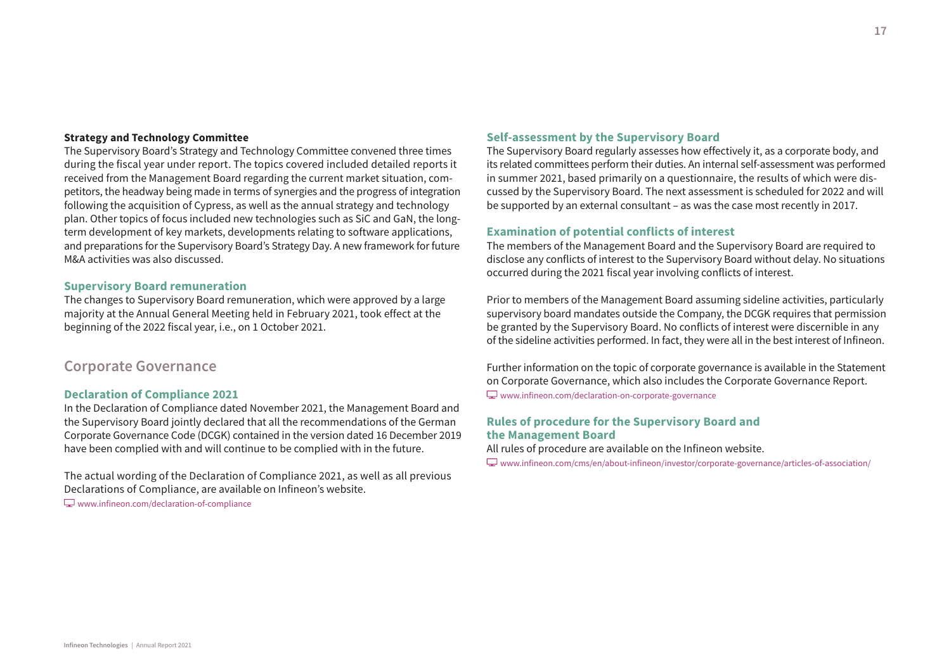#### **Strategy and Technology Committee**

The Supervisory Board's Strategy and Technology Committee convened three times during the fiscal year under report. The topics covered included detailed reports it received from the Management Board regarding the current market situation, competitors, the headway being made in terms of synergies and the progress of integration following the acquisition of Cypress, as well as the annual strategy and technology plan. Other topics of focus included new technologies such as SiC and GaN, the longterm development of key markets, developments relating to software applications, and preparations for the Supervisory Board's Strategy Day. A new framework for future M&A activities was also discussed.

# **Supervisory Board remuneration**

The changes to Supervisory Board remuneration, which were approved by a large majority at the Annual General Meeting held in February 2021, took effect at the beginning of the 2022 fiscal year, i.e., on 1 October 2021.

# **Corporate Governance**

# **Declaration of Compliance 2021**

In the Declaration of Compliance dated November 2021, the Management Board and the Supervisory Board jointly declared that all the recommendations of the German Corporate Governance Code (DCGK) contained in the version dated 16 December 2019 have been complied with and will continue to be complied with in the future.

The actual wording of the Declaration of Compliance 2021, as well as all previous Declarations of Compliance, are available on Infineon's website. [www.infineon.com/declaration-of-compliance](http://www.infineon.com/declaration-of-compliance)

# **Self-assessment by the Supervisory Board**

The Supervisory Board regularly assesses how effectively it, as a corporate body, and its related committees perform their duties. An internal self-assessment was performed in summer 2021, based primarily on a questionnaire, the results of which were discussed by the Supervisory Board. The next assessment is scheduled for 2022 and will be supported by an external consultant – as was the case most recently in 2017.

# **Examination of potential conflicts of interest**

The members of the Management Board and the Supervisory Board are required to disclose any conflicts of interest to the Supervisory Board without delay. No situations occurred during the 2021 fiscal year involving conflicts of interest.

Prior to members of the Management Board assuming sideline activities, particularly supervisory board mandates outside the Company, the DCGK requires that permission be granted by the Supervisory Board. No conflicts of interest were discernible in any of the sideline activities performed. In fact, they were all in the best interest of Infineon.

Further information on the topic of corporate governance is available in the Statement on Corporate Governance, which also includes the Corporate Governance Report. [www.infineon.com/declaration-on-corporate-governance](http://www.infineon.com/declaration-on-corporate-governance)

# **Rules of procedure for the Supervisory Board and the Management Board**

All rules of procedure are available on the Infineon website.

[www.infineon.com/cms/en/about-infineon/investor/corporate-governance/articles-of-association/](http://www.infineon.com/cms/en/about-infineon/investor/corporate-governance/articles-of-association/)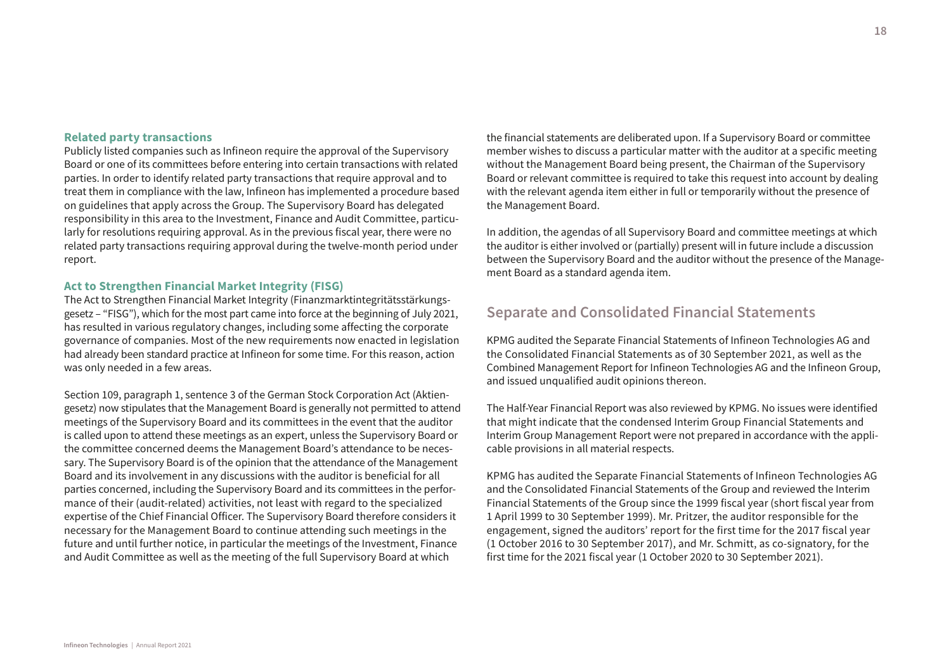## **Related party transactions**

Publicly listed companies such as Infineon require the approval of the Supervisory Board or one of its committees before entering into certain transactions with related parties. In order to identify related party transactions that require approval and to treat them in compliance with the law, Infineon has implemented a procedure based on guidelines that apply across the Group. The Supervisory Board has delegated responsibility in this area to the Investment, Finance and Audit Committee, particularly for resolutions requiring approval. As in the previous fiscal year, there were no related party transactions requiring approval during the twelve-month period under report.

# **Act to Strengthen Financial Market Integrity (FISG)**

The Act to Strengthen Financial Market Integrity (Finanzmarktintegritätsstärkungsgesetz – "FISG"), which for the most part came into force at the beginning of July 2021, has resulted in various regulatory changes, including some affecting the corporate governance of companies. Most of the new requirements now enacted in legislation had already been standard practice at Infineon for some time. For this reason, action was only needed in a few areas.

Section 109, paragraph 1, sentence 3 of the German Stock Corporation Act (Aktiengesetz) now stipulates that the Management Board is generally not permitted to attend meetings of the Supervisory Board and its committees in the event that the auditor is called upon to attend these meetings as an expert, unless the Supervisory Board or the committee concerned deems the Management Board's attendance to be necessary. The Supervisory Board is of the opinion that the attendance of the Management Board and its involvement in any discussions with the auditor is beneficial for all parties concerned, including the Supervisory Board and its committees in the performance of their (audit-related) activities, not least with regard to the specialized expertise of the Chief Financial Officer. The Supervisory Board therefore considers it necessary for the Management Board to continue attending such meetings in the future and until further notice, in particular the meetings of the Investment, Finance and Audit Committee as well as the meeting of the full Supervisory Board at which

the financial statements are deliberated upon. If a Supervisory Board or committee member wishes to discuss a particular matter with the auditor at a specific meeting without the Management Board being present, the Chairman of the Supervisory Board or relevant committee is required to take this request into account by dealing with the relevant agenda item either in full or temporarily without the presence of the Management Board.

In addition, the agendas of all Supervisory Board and committee meetings at which the auditor is either involved or (partially) present will in future include a discussion between the Supervisory Board and the auditor without the presence of the Management Board as a standard agenda item.

# **Separate and Consolidated Financial Statements**

KPMG audited the Separate Financial Statements of Infineon Technologies AG and the Consolidated Financial Statements as of 30 September 2021, as well as the Combined Management Report for Infineon Technologies AG and the Infineon Group, and issued unqualified audit opinions thereon.

The Half-Year Financial Report was also reviewed by KPMG. No issues were identified that might indicate that the condensed Interim Group Financial Statements and Interim Group Management Report were not prepared in accordance with the applicable provisions in all material respects.

KPMG has audited the Separate Financial Statements of Infineon Technologies AG and the Consolidated Financial Statements of the Group and reviewed the Interim Financial Statements of the Group since the 1999 fiscal year (short fiscal year from 1 April 1999 to 30 September 1999). Mr. Pritzer, the auditor responsible for the engagement, signed the auditors' report for the first time for the 2017 fiscal year (1 October 2016 to 30 September 2017), and Mr. Schmitt, as co-signatory, for the first time for the 2021 fiscal year (1 October 2020 to 30 September 2021).